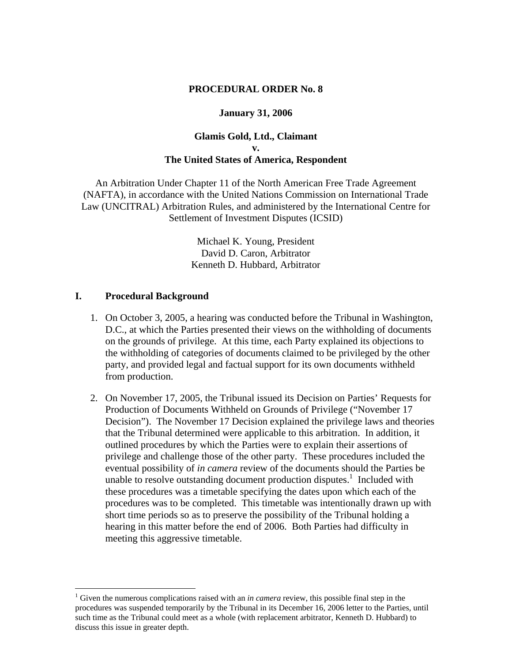### **PROCEDURAL ORDER No. 8**

### **January 31, 2006**

## **Glamis Gold, Ltd., Claimant v. The United States of America, Respondent**

An Arbitration Under Chapter 11 of the North American Free Trade Agreement (NAFTA), in accordance with the United Nations Commission on International Trade Law (UNCITRAL) Arbitration Rules, and administered by the International Centre for Settlement of Investment Disputes (ICSID)

> Michael K. Young, President David D. Caron, Arbitrator Kenneth D. Hubbard, Arbitrator

### **I. Procedural Background**

 $\overline{a}$ 

- 1. On October 3, 2005, a hearing was conducted before the Tribunal in Washington, D.C., at which the Parties presented their views on the withholding of documents on the grounds of privilege. At this time, each Party explained its objections to the withholding of categories of documents claimed to be privileged by the other party, and provided legal and factual support for its own documents withheld from production.
- 2. On November 17, 2005, the Tribunal issued its Decision on Parties' Requests for Production of Documents Withheld on Grounds of Privilege ("November 17 Decision"). The November 17 Decision explained the privilege laws and theories that the Tribunal determined were applicable to this arbitration. In addition, it outlined procedures by which the Parties were to explain their assertions of privilege and challenge those of the other party. These procedures included the eventual possibility of *in camera* review of the documents should the Parties be unable to resolve outstanding document production disputes.<sup>1</sup> Included with these procedures was a timetable specifying the dates upon which each of the procedures was to be completed. This timetable was intentionally drawn up with short time periods so as to preserve the possibility of the Tribunal holding a hearing in this matter before the end of 2006. Both Parties had difficulty in meeting this aggressive timetable.

<sup>&</sup>lt;sup>1</sup> Given the numerous complications raised with an *in camera* review, this possible final step in the procedures was suspended temporarily by the Tribunal in its December 16, 2006 letter to the Parties, until such time as the Tribunal could meet as a whole (with replacement arbitrator, Kenneth D. Hubbard) to discuss this issue in greater depth.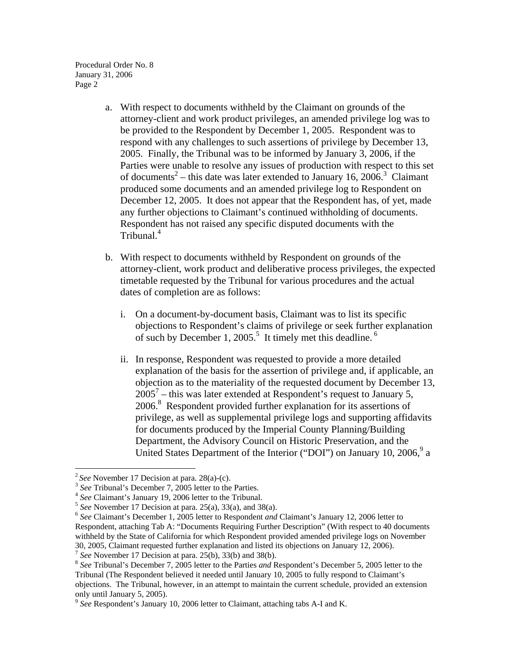- a. With respect to documents withheld by the Claimant on grounds of the attorney-client and work product privileges, an amended privilege log was to be provided to the Respondent by December 1, 2005. Respondent was to respond with any challenges to such assertions of privilege by December 13, 2005. Finally, the Tribunal was to be informed by January 3, 2006, if the Parties were unable to resolve any issues of production with respect to this set of documents<sup>2</sup> – this date was later extended to January 16, 2006.<sup>3</sup> Claimant produced some documents and an amended privilege log to Respondent on December 12, 2005. It does not appear that the Respondent has, of yet, made any further objections to Claimant's continued withholding of documents. Respondent has not raised any specific disputed documents with the Tribunal.<sup>4</sup>
- b. With respect to documents withheld by Respondent on grounds of the attorney-client, work product and deliberative process privileges, the expected timetable requested by the Tribunal for various procedures and the actual dates of completion are as follows:
	- i. On a document-by-document basis, Claimant was to list its specific objections to Respondent's claims of privilege or seek further explanation of such by December 1, 2005.<sup>5</sup> It timely met this deadline.<sup>6</sup>
	- ii. In response, Respondent was requested to provide a more detailed explanation of the basis for the assertion of privilege and, if applicable, an objection as to the materiality of the requested document by December 13,  $2005<sup>7</sup>$  – this was later extended at Respondent's request to January 5, 2006.8 Respondent provided further explanation for its assertions of privilege, as well as supplemental privilege logs and supporting affidavits for documents produced by the Imperial County Planning/Building Department, the Advisory Council on Historic Preservation, and the United States Department of the Interior ("DOI") on January 10, 2006,<sup>9</sup> a

 $\overline{a}$ 

<sup>&</sup>lt;sup>2</sup> See November 17 Decision at para. 28(a)-(c).<br>
<sup>3</sup> See Tribunal's December 7, 2005 letter to the Parties.<br>
<sup>4</sup> See Claimant's January 19, 2006 letter to the Tribunal.<br>
<sup>5</sup> See November 17 Decision at para. 25(a), 33(a) Respondent, attaching Tab A: "Documents Requiring Further Description" (With respect to 40 documents withheld by the State of California for which Respondent provided amended privilege logs on November

<sup>30, 2005,</sup> Claimant requested further explanation and listed its objections on January 12, 2006).<br>
<sup>7</sup> See November 17 Decision at para. 25(b), 33(b) and 38(b).<br>
<sup>8</sup> See Tribunal's December 7, 2005 letter to the Parties *a* Tribunal (The Respondent believed it needed until January 10, 2005 to fully respond to Claimant's objections. The Tribunal, however, in an attempt to maintain the current schedule, provided an extension only until January 5, 2005).

<sup>9</sup> *See* Respondent's January 10, 2006 letter to Claimant, attaching tabs A-I and K.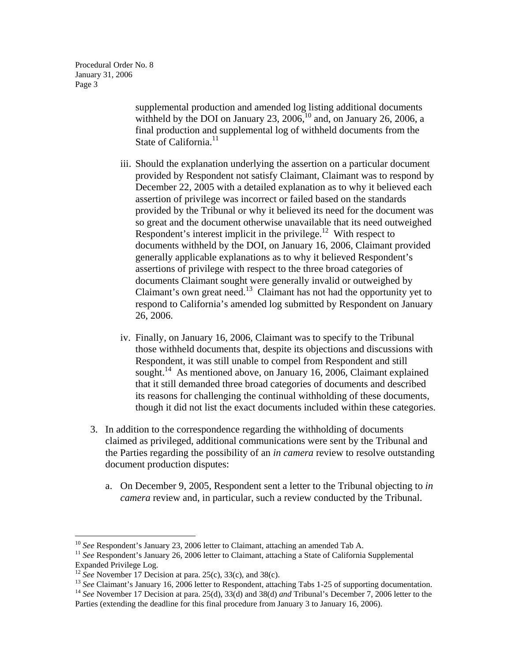> supplemental production and amended log listing additional documents withheld by the DOI on January  $23$ ,  $2006$ ,  $^{10}$  and, on January 26, 2006, a final production and supplemental log of withheld documents from the State of California. $^{11}$

- iii. Should the explanation underlying the assertion on a particular document provided by Respondent not satisfy Claimant, Claimant was to respond by December 22, 2005 with a detailed explanation as to why it believed each assertion of privilege was incorrect or failed based on the standards provided by the Tribunal or why it believed its need for the document was so great and the document otherwise unavailable that its need outweighed Respondent's interest implicit in the privilege.<sup>12</sup> With respect to documents withheld by the DOI, on January 16, 2006, Claimant provided generally applicable explanations as to why it believed Respondent's assertions of privilege with respect to the three broad categories of documents Claimant sought were generally invalid or outweighed by Claimant's own great need.<sup>13</sup> Claimant has not had the opportunity yet to respond to California's amended log submitted by Respondent on January 26, 2006.
- iv. Finally, on January 16, 2006, Claimant was to specify to the Tribunal those withheld documents that, despite its objections and discussions with Respondent, it was still unable to compel from Respondent and still sought.<sup>14</sup> As mentioned above, on January 16, 2006, Claimant explained that it still demanded three broad categories of documents and described its reasons for challenging the continual withholding of these documents, though it did not list the exact documents included within these categories.
- 3. In addition to the correspondence regarding the withholding of documents claimed as privileged, additional communications were sent by the Tribunal and the Parties regarding the possibility of an *in camera* review to resolve outstanding document production disputes:
	- a. On December 9, 2005, Respondent sent a letter to the Tribunal objecting to *in camera* review and, in particular, such a review conducted by the Tribunal.

 $10$  See Respondent's January 23, 2006 letter to Claimant, attaching an amended Tab A.

<sup>&</sup>lt;sup>11</sup> See Respondent's January 26, 2006 letter to Claimant, attaching a State of California Supplemental Expanded Privilege Log.<br><sup>12</sup> *See* November 17 Decision at para. 25(c), 33(c), and 38(c).

<sup>&</sup>lt;sup>13</sup> See Claimant's January 16, 2006 letter to Respondent, attaching Tabs 1-25 of supporting documentation.<br><sup>14</sup> See November 17 Decision at para. 25(d), 33(d) and 38(d) *and* Tribunal's December 7, 2006 letter to the Parties (extending the deadline for this final procedure from January 3 to January 16, 2006).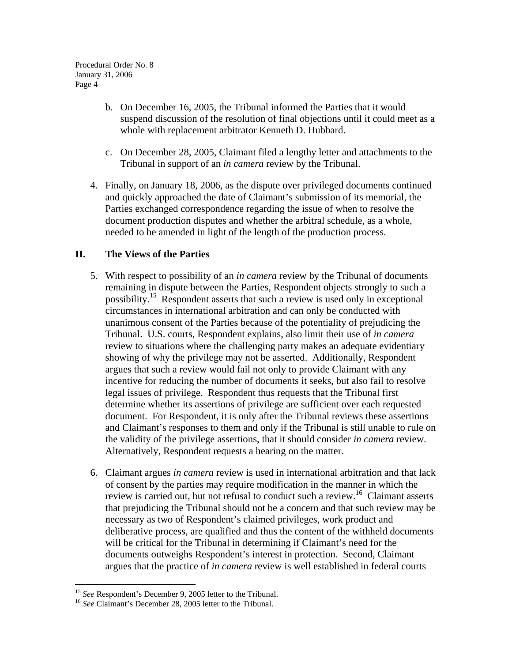- b. On December 16, 2005, the Tribunal informed the Parties that it would suspend discussion of the resolution of final objections until it could meet as a whole with replacement arbitrator Kenneth D. Hubbard.
- c. On December 28, 2005, Claimant filed a lengthy letter and attachments to the Tribunal in support of an *in camera* review by the Tribunal.
- 4. Finally, on January 18, 2006, as the dispute over privileged documents continued and quickly approached the date of Claimant's submission of its memorial, the Parties exchanged correspondence regarding the issue of when to resolve the document production disputes and whether the arbitral schedule, as a whole, needed to be amended in light of the length of the production process.

# **II. The Views of the Parties**

- 5. With respect to possibility of an *in camera* review by the Tribunal of documents remaining in dispute between the Parties, Respondent objects strongly to such a possibility.<sup>15</sup> Respondent asserts that such a review is used only in exceptional circumstances in international arbitration and can only be conducted with unanimous consent of the Parties because of the potentiality of prejudicing the Tribunal. U.S. courts, Respondent explains, also limit their use of *in camera* review to situations where the challenging party makes an adequate evidentiary showing of why the privilege may not be asserted. Additionally, Respondent argues that such a review would fail not only to provide Claimant with any incentive for reducing the number of documents it seeks, but also fail to resolve legal issues of privilege. Respondent thus requests that the Tribunal first determine whether its assertions of privilege are sufficient over each requested document. For Respondent, it is only after the Tribunal reviews these assertions and Claimant's responses to them and only if the Tribunal is still unable to rule on the validity of the privilege assertions, that it should consider *in camera* review. Alternatively, Respondent requests a hearing on the matter.
- 6. Claimant argues *in camera* review is used in international arbitration and that lack of consent by the parties may require modification in the manner in which the review is carried out, but not refusal to conduct such a review.16 Claimant asserts that prejudicing the Tribunal should not be a concern and that such review may be necessary as two of Respondent's claimed privileges, work product and deliberative process, are qualified and thus the content of the withheld documents will be critical for the Tribunal in determining if Claimant's need for the documents outweighs Respondent's interest in protection. Second, Claimant argues that the practice of *in camera* review is well established in federal courts

<sup>&</sup>lt;sup>15</sup> See Respondent's December 9, 2005 letter to the Tribunal.

<sup>&</sup>lt;sup>16</sup> See Claimant's December 28, 2005 letter to the Tribunal.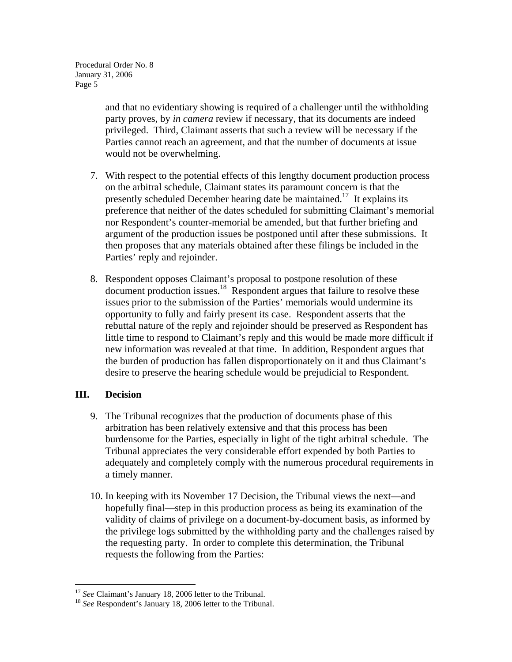> and that no evidentiary showing is required of a challenger until the withholding party proves, by *in camera* review if necessary, that its documents are indeed privileged. Third, Claimant asserts that such a review will be necessary if the Parties cannot reach an agreement, and that the number of documents at issue would not be overwhelming.

- 7. With respect to the potential effects of this lengthy document production process on the arbitral schedule, Claimant states its paramount concern is that the presently scheduled December hearing date be maintained.<sup>17</sup> It explains its preference that neither of the dates scheduled for submitting Claimant's memorial nor Respondent's counter-memorial be amended, but that further briefing and argument of the production issues be postponed until after these submissions. It then proposes that any materials obtained after these filings be included in the Parties' reply and rejoinder.
- 8. Respondent opposes Claimant's proposal to postpone resolution of these document production issues.18 Respondent argues that failure to resolve these issues prior to the submission of the Parties' memorials would undermine its opportunity to fully and fairly present its case. Respondent asserts that the rebuttal nature of the reply and rejoinder should be preserved as Respondent has little time to respond to Claimant's reply and this would be made more difficult if new information was revealed at that time. In addition, Respondent argues that the burden of production has fallen disproportionately on it and thus Claimant's desire to preserve the hearing schedule would be prejudicial to Respondent.

# **III. Decision**

- 9. The Tribunal recognizes that the production of documents phase of this arbitration has been relatively extensive and that this process has been burdensome for the Parties, especially in light of the tight arbitral schedule. The Tribunal appreciates the very considerable effort expended by both Parties to adequately and completely comply with the numerous procedural requirements in a timely manner.
- 10. In keeping with its November 17 Decision, the Tribunal views the next—and hopefully final—step in this production process as being its examination of the validity of claims of privilege on a document-by-document basis, as informed by the privilege logs submitted by the withholding party and the challenges raised by the requesting party. In order to complete this determination, the Tribunal requests the following from the Parties:

 $17$  See Claimant's January 18, 2006 letter to the Tribunal.

<sup>&</sup>lt;sup>18</sup> See Respondent's January 18, 2006 letter to the Tribunal.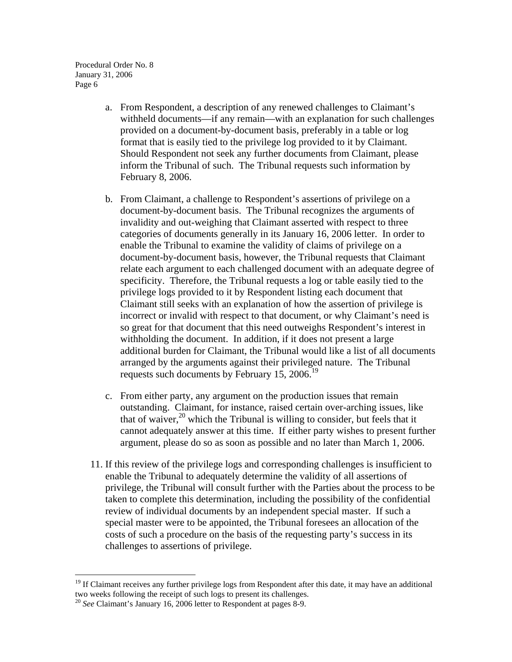- a. From Respondent, a description of any renewed challenges to Claimant's withheld documents—if any remain—with an explanation for such challenges provided on a document-by-document basis, preferably in a table or log format that is easily tied to the privilege log provided to it by Claimant. Should Respondent not seek any further documents from Claimant, please inform the Tribunal of such. The Tribunal requests such information by February 8, 2006.
- b. From Claimant, a challenge to Respondent's assertions of privilege on a document-by-document basis. The Tribunal recognizes the arguments of invalidity and out-weighing that Claimant asserted with respect to three categories of documents generally in its January 16, 2006 letter. In order to enable the Tribunal to examine the validity of claims of privilege on a document-by-document basis, however, the Tribunal requests that Claimant relate each argument to each challenged document with an adequate degree of specificity. Therefore, the Tribunal requests a log or table easily tied to the privilege logs provided to it by Respondent listing each document that Claimant still seeks with an explanation of how the assertion of privilege is incorrect or invalid with respect to that document, or why Claimant's need is so great for that document that this need outweighs Respondent's interest in withholding the document. In addition, if it does not present a large additional burden for Claimant, the Tribunal would like a list of all documents arranged by the arguments against their privileged nature. The Tribunal requests such documents by February 15, 2006.<sup>19</sup>
- c. From either party, any argument on the production issues that remain outstanding. Claimant, for instance, raised certain over-arching issues, like that of waiver,  $^{20}$  which the Tribunal is willing to consider, but feels that it cannot adequately answer at this time. If either party wishes to present further argument, please do so as soon as possible and no later than March 1, 2006.
- 11. If this review of the privilege logs and corresponding challenges is insufficient to enable the Tribunal to adequately determine the validity of all assertions of privilege, the Tribunal will consult further with the Parties about the process to be taken to complete this determination, including the possibility of the confidential review of individual documents by an independent special master. If such a special master were to be appointed, the Tribunal foresees an allocation of the costs of such a procedure on the basis of the requesting party's success in its challenges to assertions of privilege.

 $\overline{a}$ 

<sup>&</sup>lt;sup>19</sup> If Claimant receives any further privilege logs from Respondent after this date, it may have an additional two weeks following the receipt of such logs to present its challenges.

<sup>20</sup> *See* Claimant's January 16, 2006 letter to Respondent at pages 8-9.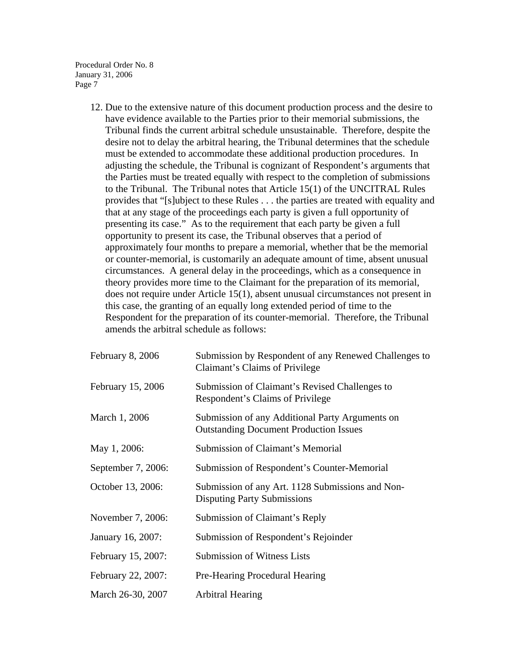> 12. Due to the extensive nature of this document production process and the desire to have evidence available to the Parties prior to their memorial submissions, the Tribunal finds the current arbitral schedule unsustainable. Therefore, despite the desire not to delay the arbitral hearing, the Tribunal determines that the schedule must be extended to accommodate these additional production procedures. In adjusting the schedule, the Tribunal is cognizant of Respondent's arguments that the Parties must be treated equally with respect to the completion of submissions to the Tribunal. The Tribunal notes that Article 15(1) of the UNCITRAL Rules provides that "[s]ubject to these Rules . . . the parties are treated with equality and that at any stage of the proceedings each party is given a full opportunity of presenting its case." As to the requirement that each party be given a full opportunity to present its case, the Tribunal observes that a period of approximately four months to prepare a memorial, whether that be the memorial or counter-memorial, is customarily an adequate amount of time, absent unusual circumstances. A general delay in the proceedings, which as a consequence in theory provides more time to the Claimant for the preparation of its memorial, does not require under Article 15(1), absent unusual circumstances not present in this case, the granting of an equally long extended period of time to the Respondent for the preparation of its counter-memorial. Therefore, the Tribunal amends the arbitral schedule as follows:

| February 8, 2006   | Submission by Respondent of any Renewed Challenges to<br>Claimant's Claims of Privilege          |
|--------------------|--------------------------------------------------------------------------------------------------|
| February 15, 2006  | Submission of Claimant's Revised Challenges to<br>Respondent's Claims of Privilege               |
| March 1, 2006      | Submission of any Additional Party Arguments on<br><b>Outstanding Document Production Issues</b> |
| May 1, 2006:       | Submission of Claimant's Memorial                                                                |
| September 7, 2006: | Submission of Respondent's Counter-Memorial                                                      |
| October 13, 2006:  | Submission of any Art. 1128 Submissions and Non-<br><b>Disputing Party Submissions</b>           |
| November 7, 2006:  | Submission of Claimant's Reply                                                                   |
| January 16, 2007:  | Submission of Respondent's Rejoinder                                                             |
| February 15, 2007: | <b>Submission of Witness Lists</b>                                                               |
| February 22, 2007: | Pre-Hearing Procedural Hearing                                                                   |
| March 26-30, 2007  | Arbitral Hearing                                                                                 |